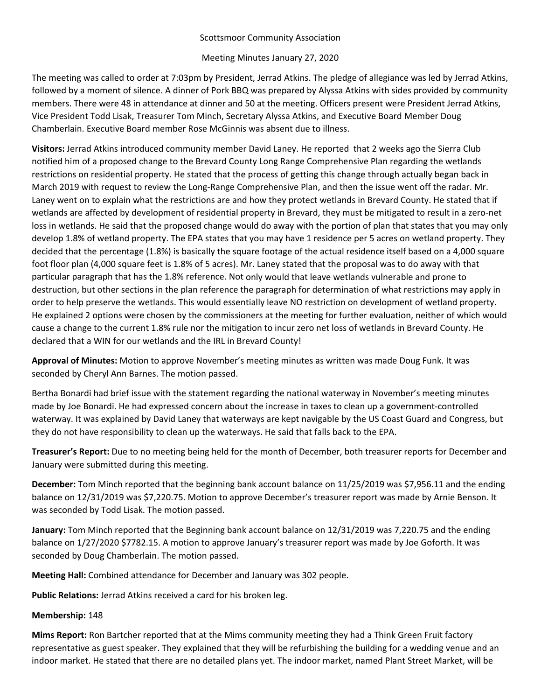# Scottsmoor Community Association

# Meeting Minutes January 27, 2020

The meeting was called to order at 7:03pm by President, Jerrad Atkins. The pledge of allegiance was led by Jerrad Atkins, followed by a moment of silence. A dinner of Pork BBQ was prepared by Alyssa Atkins with sides provided by community members. There were 48 in attendance at dinner and 50 at the meeting. Officers present were President Jerrad Atkins, Vice President Todd Lisak, Treasurer Tom Minch, Secretary Alyssa Atkins, and Executive Board Member Doug Chamberlain. Executive Board member Rose McGinnis was absent due to illness.

**Visitors:** Jerrad Atkins introduced community member David Laney. He reported that 2 weeks ago the Sierra Club notified him of a proposed change to the Brevard County Long Range Comprehensive Plan regarding the wetlands restrictions on residential property. He stated that the process of getting this change through actually began back in March 2019 with request to review the Long‐Range Comprehensive Plan, and then the issue went off the radar. Mr. Laney went on to explain what the restrictions are and how they protect wetlands in Brevard County. He stated that if wetlands are affected by development of residential property in Brevard, they must be mitigated to result in a zero-net loss in wetlands. He said that the proposed change would do away with the portion of plan that states that you may only develop 1.8% of wetland property. The EPA states that you may have 1 residence per 5 acres on wetland property. They decided that the percentage (1.8%) is basically the square footage of the actual residence itself based on a 4,000 square foot floor plan (4,000 square feet is 1.8% of 5 acres). Mr. Laney stated that the proposal was to do away with that particular paragraph that has the 1.8% reference. Not only would that leave wetlands vulnerable and prone to destruction, but other sections in the plan reference the paragraph for determination of what restrictions may apply in order to help preserve the wetlands. This would essentially leave NO restriction on development of wetland property. He explained 2 options were chosen by the commissioners at the meeting for further evaluation, neither of which would cause a change to the current 1.8% rule nor the mitigation to incur zero net loss of wetlands in Brevard County. He declared that a WIN for our wetlands and the IRL in Brevard County!

**Approval of Minutes:** Motion to approve November's meeting minutes as written was made Doug Funk. It was seconded by Cheryl Ann Barnes. The motion passed.

Bertha Bonardi had brief issue with the statement regarding the national waterway in November's meeting minutes made by Joe Bonardi. He had expressed concern about the increase in taxes to clean up a government‐controlled waterway. It was explained by David Laney that waterways are kept navigable by the US Coast Guard and Congress, but they do not have responsibility to clean up the waterways. He said that falls back to the EPA.

**Treasurer's Report:** Due to no meeting being held for the month of December, both treasurer reports for December and January were submitted during this meeting.

**December:** Tom Minch reported that the beginning bank account balance on 11/25/2019 was \$7,956.11 and the ending balance on 12/31/2019 was \$7,220.75. Motion to approve December's treasurer report was made by Arnie Benson. It was seconded by Todd Lisak. The motion passed.

**January:** Tom Minch reported that the Beginning bank account balance on 12/31/2019 was 7,220.75 and the ending balance on 1/27/2020 \$7782.15. A motion to approve January's treasurer report was made by Joe Goforth. It was seconded by Doug Chamberlain. The motion passed.

**Meeting Hall:** Combined attendance for December and January was 302 people.

**Public Relations:** Jerrad Atkins received a card for his broken leg.

### **Membership:** 148

**Mims Report:** Ron Bartcher reported that at the Mims community meeting they had a Think Green Fruit factory representative as guest speaker. They explained that they will be refurbishing the building for a wedding venue and an indoor market. He stated that there are no detailed plans yet. The indoor market, named Plant Street Market, will be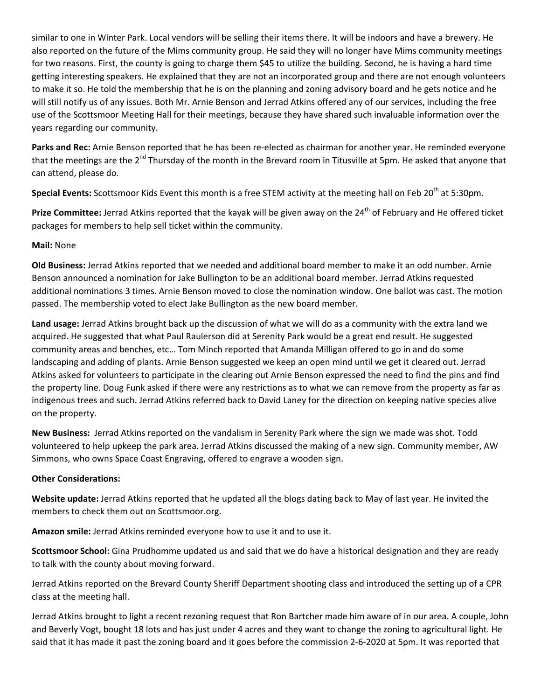similar to one in Winter Park. Local vendors will be selling their items there. It will be indoors and have a brewery. He also reported on the future of the Mims community group. He said they will no longer have Mims community meetings for two reasons. First, the county is going to charge them \$45 to utilize the building. Second, he is having a hard time getting interesting speakers. He explained that they are not an incorporated group and there are not enough volunteers to make it so. He told the membership that he is on the planning and zoning advisory board and he gets notice and he will still notify us of any issues. Both Mr. Arnie Benson and Jerrad Atkins offered any of our services, including the free use of the Scottsmoor Meeting Hall for their meetings, because they have shared such invaluable information over the years regarding our community.

**Parks and Rec:** Arnie Benson reported that he has been re‐elected as chairman for another year. He reminded everyone that the meetings are the 2<sup>nd</sup> Thursday of the month in the Brevard room in Titusville at 5pm. He asked that anyone that can attend, please do.

**Special Events:** Scottsmoor Kids Event this month is a free STEM activity at the meeting hall on Feb 20<sup>th</sup> at 5:30pm.

Prize Committee: Jerrad Atkins reported that the kayak will be given away on the 24<sup>th</sup> of February and He offered ticket packages for members to help sell ticket within the community.

### **Mail:** None

**Old Business:** Jerrad Atkins reported that we needed and additional board member to make it an odd number. Arnie Benson announced a nomination for Jake Bullington to be an additional board member. Jerrad Atkins requested additional nominations 3 times. Arnie Benson moved to close the nomination window. One ballot was cast. The motion passed. The membership voted to elect Jake Bullington as the new board member.

**Land usage:** Jerrad Atkins brought back up the discussion of what we will do as a community with the extra land we acquired. He suggested that what Paul Raulerson did at Serenity Park would be a great end result. He suggested community areas and benches, etc… Tom Minch reported that Amanda Milligan offered to go in and do some landscaping and adding of plants. Arnie Benson suggested we keep an open mind until we get it cleared out. Jerrad Atkins asked for volunteers to participate in the clearing out Arnie Benson expressed the need to find the pins and find the property line. Doug Funk asked if there were any restrictions as to what we can remove from the property as far as indigenous trees and such. Jerrad Atkins referred back to David Laney for the direction on keeping native species alive on the property.

**New Business:** Jerrad Atkins reported on the vandalism in Serenity Park where the sign we made was shot. Todd volunteered to help upkeep the park area. Jerrad Atkins discussed the making of a new sign. Community member, AW Simmons, who owns Space Coast Engraving, offered to engrave a wooden sign.

### **Other Considerations:**

**Website update:** Jerrad Atkins reported that he updated all the blogs dating back to May of last year. He invited the members to check them out on Scottsmoor.org.

**Amazon smile:** Jerrad Atkins reminded everyone how to use it and to use it.

**Scottsmoor School:** Gina Prudhomme updated us and said that we do have a historical designation and they are ready to talk with the county about moving forward.

Jerrad Atkins reported on the Brevard County Sheriff Department shooting class and introduced the setting up of a CPR class at the meeting hall.

Jerrad Atkins brought to light a recent rezoning request that Ron Bartcher made him aware of in our area. A couple, John and Beverly Vogt, bought 18 lots and has just under 4 acres and they want to change the zoning to agricultural light. He said that it has made it past the zoning board and it goes before the commission 2‐6‐2020 at 5pm. It was reported that